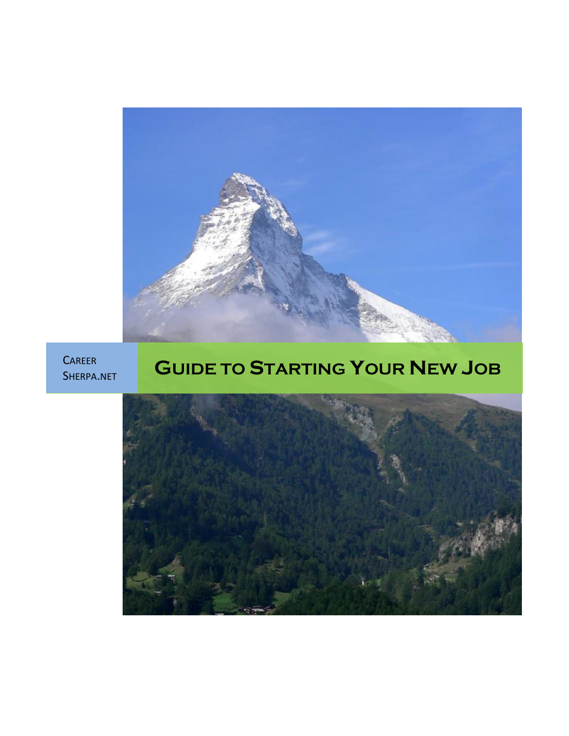

CAREER<br>SHERPA.NET

# <sup>S</sup>HERPA.NET **GUIDE TO STARTING YOUR NEW JOB**

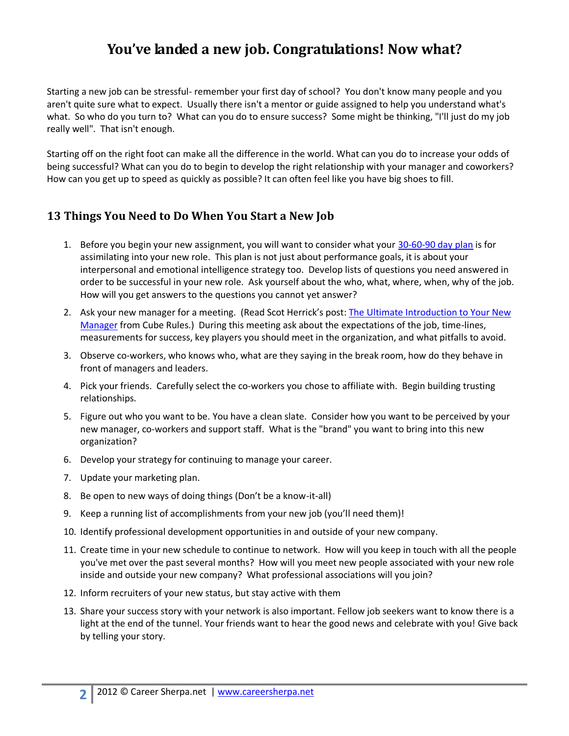## **You've landed a new job. Congratulations! Now what?**

Starting a new job can be stressful- remember your first day of school? You don't know many people and you aren't quite sure what to expect. Usually there isn't a mentor or guide assigned to help you understand what's what. So who do you turn to? What can you do to ensure success? Some might be thinking, "I'll just do my job really well". That isn't enough.

Starting off on the right foot can make all the difference in the world. What can you do to increase your odds of being successful? What can you do to begin to develop the right relationship with your manager and coworkers? How can you get up to speed as quickly as possible? It can often feel like you have big shoes to fill.

#### **13 Things You Need to Do When You Start a New Job**

- 1. Before you begin your new assignment, you will want to consider what your [30-60-90 day plan](http://careersherpa.net/setting-yourself-apart-with-a-30-60-90-day-plan/) is for assimilating into your new role. This plan is not just about performance goals, it is about your interpersonal and emotional intelligence strategy too. Develop lists of questions you need answered in order to be successful in your new role. Ask yourself about the who, what, where, when, why of the job. How will you get answers to the questions you cannot yet answer?
- 2. Ask your new manager for a meeting. (Read Scot Herrick's post: [The Ultimate Introduction to Your New](http://cuberules.com/2010/05/28/ultimate-introduction-your-manager/)  [Manager](http://cuberules.com/2010/05/28/ultimate-introduction-your-manager/) from Cube Rules.) During this meeting ask about the expectations of the job, time-lines, measurements for success, key players you should meet in the organization, and what pitfalls to avoid.
- 3. Observe co-workers, who knows who, what are they saying in the break room, how do they behave in front of managers and leaders.
- 4. Pick your friends. Carefully select the co-workers you chose to affiliate with. Begin building trusting relationships.
- 5. Figure out who you want to be. You have a clean slate. Consider how you want to be perceived by your new manager, co-workers and support staff. What is the "brand" you want to bring into this new organization?
- 6. Develop your strategy for continuing to manage your career.
- 7. Update your marketing plan.
- 8. Be open to new ways of doing things (Don't be a know-it-all)
- 9. Keep a running list of accomplishments from your new job (you'll need them)!
- 10. Identify professional development opportunities in and outside of your new company.
- 11. Create time in your new schedule to continue to network. How will you keep in touch with all the people you've met over the past several months? How will you meet new people associated with your new role inside and outside your new company? What professional associations will you join?
- 12. Inform recruiters of your new status, but stay active with them
- 13. Share your success story with your network is also important. Fellow job seekers want to know there is a light at the end of the tunnel. Your friends want to hear the good news and celebrate with you! Give back by telling your story.